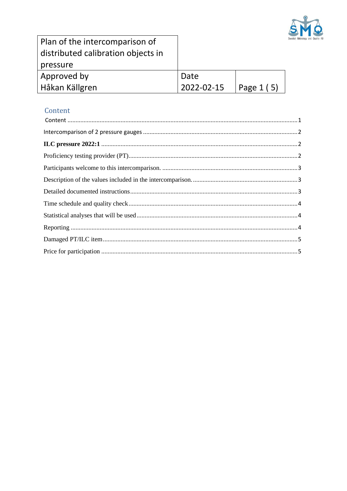

| Plan of the intercomparison of     |    |
|------------------------------------|----|
| distributed calibration objects in |    |
| pressure                           |    |
| Approved by                        | Da |
| Håkan Källgren                     |    |

# ate 2022-02-15

Page 1 (5)

# <span id="page-0-0"></span>Content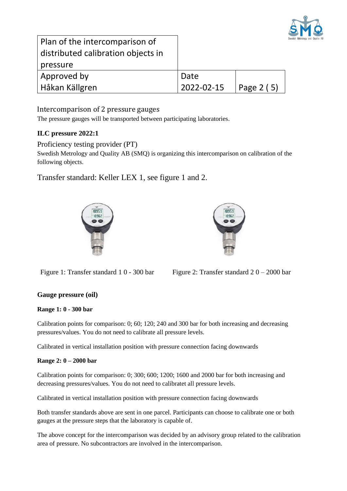

| Plan of the intercomparison of     |            |              |
|------------------------------------|------------|--------------|
| distributed calibration objects in |            |              |
| pressure                           |            |              |
| Approved by                        | Date       |              |
| Håkan Källgren                     | 2022-02-15 | Page 2 $(5)$ |

# <span id="page-1-0"></span>Intercomparison of 2 pressure gauges

The pressure gauges will be transported between participating laboratories.

# <span id="page-1-1"></span>**ILC pressure 2022:1**

<span id="page-1-2"></span>Proficiency testing provider (PT)

Swedish Metrology and Quality AB (SMQ) is organizing this intercomparison on calibration of the following objects.

Transfer standard: Keller LEX 1, see figure 1 and 2.





Figure 1: Transfer standard 1 0 - 300 bar Figure 2: Transfer standard  $20 - 2000$  bar

# **Gauge pressure (oil)**

#### **Range 1: 0 - 300 bar**

Calibration points for comparison: 0; 60; 120; 240 and 300 bar for both increasing and decreasing pressures/values. You do not need to calibrate all pressure levels.

Calibrated in vertical installation position with pressure connection facing downwards

#### **Range 2: 0 – 2000 bar**

Calibration points for comparison: 0; 300; 600; 1200; 1600 and 2000 bar for both increasing and decreasing pressures/values. You do not need to calibratet all pressure levels.

Calibrated in vertical installation position with pressure connection facing downwards

Both transfer standards above are sent in one parcel. Participants can choose to calibrate one or both gauges at the pressure steps that the laboratory is capable of.

The above concept for the intercomparison was decided by an advisory group related to the calibration area of pressure. No subcontractors are involved in the intercomparison.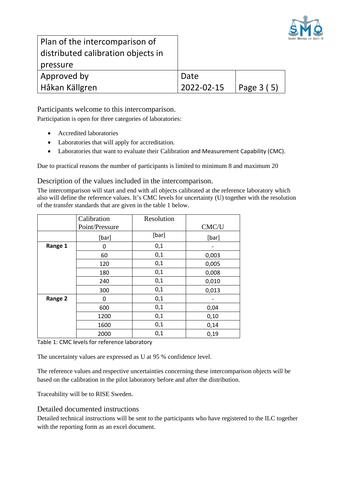

Plan of the intercomparison of distributed calibration objects in pressure Approved by Håkan Källgren

| Date       |                    |
|------------|--------------------|
| 2022-02-15 | $\vert$ Page 3 (5) |

<span id="page-2-0"></span>Participants welcome to this intercomparison.

Participation is open for three categories of laboratories:

- Accredited laboratories
- Laboratories that will apply for accreditation.
- Laboratories that want to evaluate their Calibration and Measurement Capability (CMC).

Due to practical reasons the number of participants is limited to minimum 8 and maximum 20

<span id="page-2-1"></span>Description of the values included in the intercomparison.

The intercomparison will start and end with all objects calibrated at the reference laboratory which also will define the reference values. It's CMC levels for uncertainty (U) together with the resolution of the transfer standards that are given in the table 1 below.

|         | Calibration<br>Point/Pressure | Resolution | CMC/U |
|---------|-------------------------------|------------|-------|
|         | [bar]                         | [bar]      | [bar] |
| Range 1 | 0                             | 0,1        |       |
|         | 60                            | 0,1        | 0,003 |
|         | 120                           | 0,1        | 0,005 |
|         | 180                           | 0,1        | 0,008 |
|         | 240                           | 0,1        | 0,010 |
|         | 300                           | 0,1        | 0,013 |
| Range 2 | 0                             | 0,1        |       |
|         | 600                           | 0,1        | 0,04  |
|         | 1200                          | 0,1        | 0,10  |
|         | 1600                          | 0,1        | 0,14  |
|         | 2000                          | 0,1        | 0,19  |

Table 1: CMC levels for reference laboratory

The uncertainty values are expressed as U at 95 % confidence level.

The reference values and respective uncertainties concerning these intercomparison objects will be based on the calibration in the pilot laboratory before and after the distribution.

Traceability will be to RISE Sweden.

<span id="page-2-2"></span>Detailed documented instructions

Detailed technical instructions will be sent to the participants who have registered to the ILC together with the reporting form as an excel document.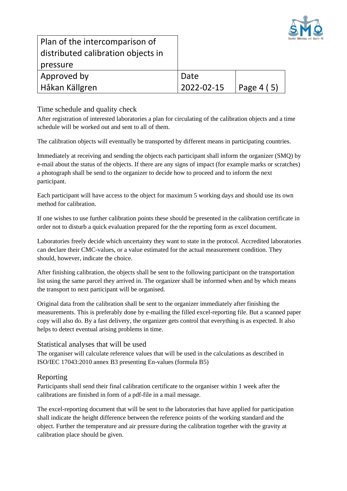

| Plan of the intercomparison of<br>distributed calibration objects in |            |            |
|----------------------------------------------------------------------|------------|------------|
| pressure                                                             |            |            |
| Approved by                                                          | Date       |            |
| Håkan Källgren                                                       | 2022-02-15 | Page 4 (5) |

<span id="page-3-0"></span>Time schedule and quality check

After registration of interested laboratories a plan for circulating of the calibration objects and a time schedule will be worked out and sent to all of them.

The calibration objects will eventually be transported by different means in participating countries.

Immediately at receiving and sending the objects each participant shall inform the organizer (SMQ) by e-mail about the status of the objects. If there are any signs of impact (for example marks or scratches) a photograph shall be send to the organizer to decide how to proceed and to inform the next participant.

Each participant will have access to the object for maximum 5 working days and should use its own method for calibration.

If one wishes to use further calibration points these should be presented in the calibration certificate in order not to disturb a quick evaluation prepared for the the reporting form as excel document.

Laboratories freely decide which uncertainty they want to state in the protocol. Accredited laboratories can declare their CMC-values, or a value estimated for the actual measurement condition. They should, however, indicate the choice.

After finishing calibration, the objects shall be sent to the following participant on the transportation list using the same parcel they arrived in. The organizer shall be informed when and by which means the transport to next participant will be organised.

Original data from the calibration shall be sent to the organizer immediately after finishing the measurements. This is preferably done by e-mailing the filled excel-reporting file. But a scanned paper copy will also do. By a fast delivery, the organizer gets control that everything is as expected. It also helps to detect eventual arising problems in time.

#### <span id="page-3-1"></span>Statistical analyses that will be used

The organiser will calculate reference values that will be used in the calculations as described in ISO/IEC 17043:2010 annex B3 presenting En-values (formula B5)

# <span id="page-3-2"></span>Reporting

Participants shall send their final calibration certificate to the organiser within 1 week after the calibrations are finished in form of a pdf-file in a mail message.

The excel-reporting document that will be sent to the laboratories that have applied for participation shall indicate the height difference between the reference points of the working standard and the object. Further the temperature and air pressure during the calibration together with the gravity at calibration place should be given.